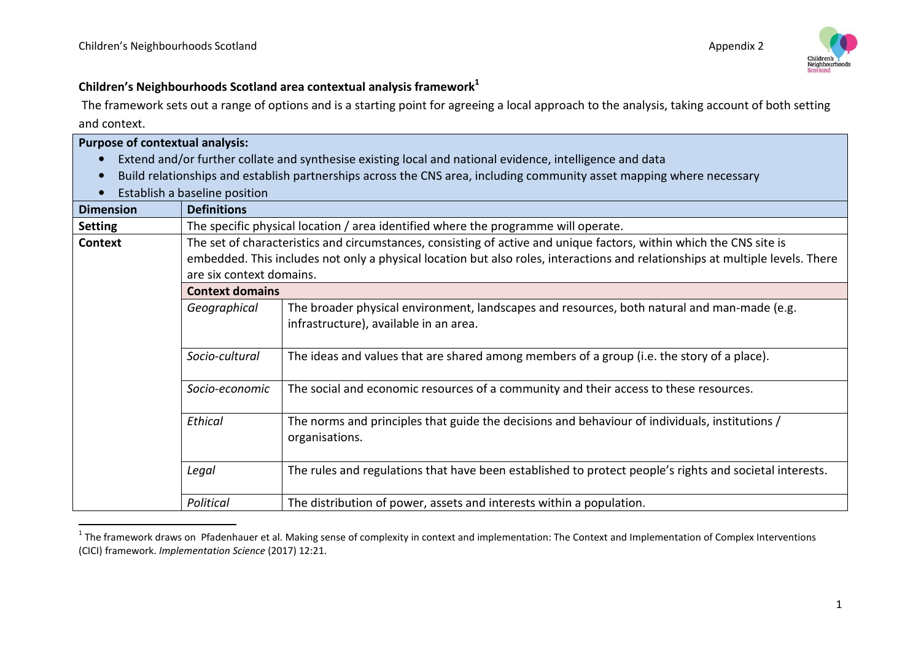

## **Children's Neighbourhoods Scotland area contextual analysis framework<sup>1</sup>**

 The framework sets out a range of options and is a starting point for agreeing a local approach to the analysis, taking account of both setting and context.

| <b>Purpose of contextual analysis:</b>                                                                                |                                                                                                                               |                                                                                                          |  |  |
|-----------------------------------------------------------------------------------------------------------------------|-------------------------------------------------------------------------------------------------------------------------------|----------------------------------------------------------------------------------------------------------|--|--|
|                                                                                                                       |                                                                                                                               | Extend and/or further collate and synthesise existing local and national evidence, intelligence and data |  |  |
| Build relationships and establish partnerships across the CNS area, including community asset mapping where necessary |                                                                                                                               |                                                                                                          |  |  |
| Establish a baseline position                                                                                         |                                                                                                                               |                                                                                                          |  |  |
| <b>Dimension</b>                                                                                                      | <b>Definitions</b>                                                                                                            |                                                                                                          |  |  |
| <b>Setting</b>                                                                                                        | The specific physical location / area identified where the programme will operate.                                            |                                                                                                          |  |  |
| <b>Context</b>                                                                                                        | The set of characteristics and circumstances, consisting of active and unique factors, within which the CNS site is           |                                                                                                          |  |  |
|                                                                                                                       | embedded. This includes not only a physical location but also roles, interactions and relationships at multiple levels. There |                                                                                                          |  |  |
|                                                                                                                       | are six context domains.                                                                                                      |                                                                                                          |  |  |
|                                                                                                                       | <b>Context domains</b>                                                                                                        |                                                                                                          |  |  |
|                                                                                                                       | Geographical                                                                                                                  | The broader physical environment, landscapes and resources, both natural and man-made (e.g.              |  |  |
|                                                                                                                       |                                                                                                                               | infrastructure), available in an area.                                                                   |  |  |
|                                                                                                                       |                                                                                                                               |                                                                                                          |  |  |
|                                                                                                                       | Socio-cultural                                                                                                                | The ideas and values that are shared among members of a group (i.e. the story of a place).               |  |  |
|                                                                                                                       |                                                                                                                               |                                                                                                          |  |  |
|                                                                                                                       | Socio-economic                                                                                                                | The social and economic resources of a community and their access to these resources.                    |  |  |
|                                                                                                                       |                                                                                                                               |                                                                                                          |  |  |
|                                                                                                                       | Ethical                                                                                                                       | The norms and principles that guide the decisions and behaviour of individuals, institutions /           |  |  |
|                                                                                                                       |                                                                                                                               | organisations.                                                                                           |  |  |
|                                                                                                                       |                                                                                                                               |                                                                                                          |  |  |
|                                                                                                                       | Legal                                                                                                                         | The rules and regulations that have been established to protect people's rights and societal interests.  |  |  |
|                                                                                                                       |                                                                                                                               |                                                                                                          |  |  |
|                                                                                                                       | Political                                                                                                                     | The distribution of power, assets and interests within a population.                                     |  |  |

 $^1$  The framework draws on Pfadenhauer et al. Making sense of complexity in context and implementation: The Context and Implementation of Complex Interventions (CICI) framework. *Implementation Science* (2017) 12:21.